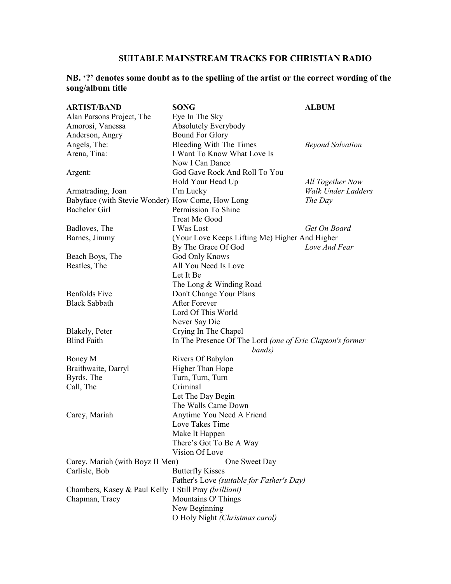## **SUITABLE MAINSTREAM TRACKS FOR CHRISTIAN RADIO**

## **NB. '?' denotes some doubt as to the spelling of the artist or the correct wording of the song/album title**

| <b>ARTIST/BAND</b>                                    | <b>SONG</b>                                               | <b>ALBUM</b>              |
|-------------------------------------------------------|-----------------------------------------------------------|---------------------------|
| Alan Parsons Project, The                             | Eye In The Sky                                            |                           |
| Amorosi, Vanessa                                      | Absolutely Everybody                                      |                           |
| Anderson, Angry                                       | <b>Bound For Glory</b>                                    |                           |
| Angels, The:                                          | Bleeding With The Times                                   | <b>Beyond Salvation</b>   |
| Arena, Tina:                                          | I Want To Know What Love Is                               |                           |
|                                                       | Now I Can Dance                                           |                           |
| Argent:                                               | God Gave Rock And Roll To You                             |                           |
|                                                       | Hold Your Head Up                                         | All Together Now          |
| Armatrading, Joan                                     | I'm Lucky                                                 | <b>Walk Under Ladders</b> |
| Babyface (with Stevie Wonder) How Come, How Long      |                                                           | The Day                   |
| <b>Bachelor Girl</b>                                  | Permission To Shine                                       |                           |
|                                                       | <b>Treat Me Good</b>                                      |                           |
| Badloves, The                                         | I Was Lost                                                | Get On Board              |
| Barnes, Jimmy                                         | (Your Love Keeps Lifting Me) Higher And Higher            |                           |
|                                                       | By The Grace Of God                                       | Love And Fear             |
| Beach Boys, The                                       | God Only Knows                                            |                           |
| Beatles, The                                          | All You Need Is Love                                      |                           |
|                                                       | Let It Be                                                 |                           |
|                                                       | The Long & Winding Road                                   |                           |
| <b>Benfolds</b> Five                                  | Don't Change Your Plans                                   |                           |
| <b>Black Sabbath</b>                                  | <b>After Forever</b>                                      |                           |
|                                                       | Lord Of This World                                        |                           |
|                                                       | Never Say Die                                             |                           |
| Blakely, Peter                                        | Crying In The Chapel                                      |                           |
| <b>Blind Faith</b>                                    | In The Presence Of The Lord (one of Eric Clapton's former |                           |
|                                                       | bands)                                                    |                           |
| Boney M                                               | Rivers Of Babylon                                         |                           |
| Braithwaite, Darryl                                   | Higher Than Hope                                          |                           |
| Byrds, The                                            | Turn, Turn, Turn                                          |                           |
| Call, The                                             | Criminal                                                  |                           |
|                                                       | Let The Day Begin                                         |                           |
|                                                       | The Walls Came Down                                       |                           |
| Carey, Mariah                                         | Anytime You Need A Friend                                 |                           |
|                                                       | Love Takes Time                                           |                           |
|                                                       | Make It Happen                                            |                           |
|                                                       | There's Got To Be A Way                                   |                           |
|                                                       | Vision Of Love                                            |                           |
| Carey, Mariah (with Boyz II Men)                      | One Sweet Day                                             |                           |
| Carlisle, Bob                                         | <b>Butterfly Kisses</b>                                   |                           |
|                                                       | Father's Love (suitable for Father's Day)                 |                           |
| Chambers, Kasey & Paul Kelly I Still Pray (brilliant) |                                                           |                           |
| Chapman, Tracy                                        | Mountains O' Things                                       |                           |
|                                                       | New Beginning                                             |                           |
|                                                       | O Holy Night (Christmas carol)                            |                           |
|                                                       |                                                           |                           |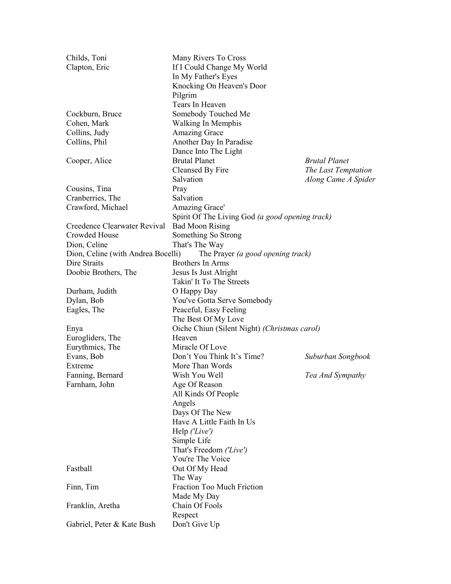| Childs, Toni                       | Many Rivers To Cross                            |                      |  |
|------------------------------------|-------------------------------------------------|----------------------|--|
| Clapton, Eric                      | If I Could Change My World                      |                      |  |
|                                    | In My Father's Eyes                             |                      |  |
|                                    | Knocking On Heaven's Door                       |                      |  |
|                                    | Pilgrim                                         |                      |  |
|                                    | Tears In Heaven                                 |                      |  |
| Cockburn, Bruce                    | Somebody Touched Me                             |                      |  |
| Cohen, Mark                        | <b>Walking In Memphis</b>                       |                      |  |
| Collins, Judy                      | <b>Amazing Grace</b>                            |                      |  |
| Collins, Phil                      |                                                 |                      |  |
|                                    | Another Day In Paradise                         |                      |  |
|                                    | Dance Into The Light<br><b>Brutal Planet</b>    | <b>Brutal Planet</b> |  |
| Cooper, Alice                      |                                                 |                      |  |
|                                    | Cleansed By Fire                                | The Last Temptation  |  |
|                                    | Salvation                                       | Along Came A Spider  |  |
| Cousins, Tina                      | Pray                                            |                      |  |
| Cranberries, The                   | Salvation                                       |                      |  |
| Crawford, Michael                  | Amazing Grace'                                  |                      |  |
|                                    | Spirit Of The Living God (a good opening track) |                      |  |
| Creedence Clearwater Revival       | <b>Bad Moon Rising</b>                          |                      |  |
| Crowded House                      | Something So Strong                             |                      |  |
| Dion, Celine                       | That's The Way                                  |                      |  |
| Dion, Celine (with Andrea Bocelli) | The Prayer (a good opening track)               |                      |  |
| Dire Straits                       | Brothers In Arms                                |                      |  |
| Doobie Brothers, The               | Jesus Is Just Alright                           |                      |  |
|                                    | Takin' It To The Streets                        |                      |  |
| Durham, Judith                     | O Happy Day                                     |                      |  |
| Dylan, Bob                         | You've Gotta Serve Somebody                     |                      |  |
| Eagles, The                        | Peaceful, Easy Feeling                          |                      |  |
|                                    | The Best Of My Love                             |                      |  |
| Enya                               | Oiche Chiun (Silent Night) (Christmas carol)    |                      |  |
| Eurogliders, The                   | Heaven                                          |                      |  |
| Eurythmics, The                    | Miracle Of Love                                 |                      |  |
| Evans, Bob                         | Don't You Think It's Time?                      |                      |  |
|                                    |                                                 | Suburban Songbook    |  |
| Extreme                            | More Than Words                                 |                      |  |
| Fanning, Bernard                   | Wish You Well                                   | Tea And Sympathy     |  |
| Farnham, John                      | Age Of Reason                                   |                      |  |
|                                    | All Kinds Of People                             |                      |  |
|                                    | Angels                                          |                      |  |
|                                    | Days Of The New                                 |                      |  |
|                                    | Have A Little Faith In Us                       |                      |  |
|                                    | Help ('Live')                                   |                      |  |
|                                    | Simple Life                                     |                      |  |
|                                    | That's Freedom ('Live')                         |                      |  |
|                                    | You're The Voice                                |                      |  |
| Fastball                           | Out Of My Head                                  |                      |  |
|                                    | The Way                                         |                      |  |
| Finn, Tim                          | Fraction Too Much Friction                      |                      |  |
|                                    | Made My Day                                     |                      |  |
| Franklin, Aretha                   | Chain Of Fools                                  |                      |  |
|                                    | Respect                                         |                      |  |
| Gabriel, Peter & Kate Bush         | Don't Give Up                                   |                      |  |
|                                    |                                                 |                      |  |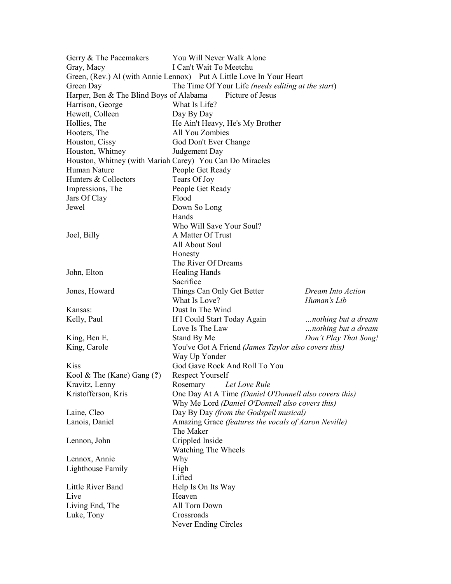| Gerry & The Pacemakers                                               | You Will Never Walk Alone                                                                      |                       |  |  |  |
|----------------------------------------------------------------------|------------------------------------------------------------------------------------------------|-----------------------|--|--|--|
| Gray, Macy                                                           | I Can't Wait To Meetchu                                                                        |                       |  |  |  |
| Green, (Rev.) Al (with Annie Lennox) Put A Little Love In Your Heart |                                                                                                |                       |  |  |  |
| Green Day                                                            | The Time Of Your Life (needs editing at the start)                                             |                       |  |  |  |
| Harper, Ben & The Blind Boys of Alabama                              | Picture of Jesus                                                                               |                       |  |  |  |
| Harrison, George                                                     | What Is Life?                                                                                  |                       |  |  |  |
| Hewett, Colleen                                                      | Day By Day                                                                                     |                       |  |  |  |
| Hollies, The                                                         | He Ain't Heavy, He's My Brother                                                                |                       |  |  |  |
| Hooters, The                                                         | All You Zombies                                                                                |                       |  |  |  |
| Houston, Cissy                                                       | God Don't Ever Change                                                                          |                       |  |  |  |
| Houston, Whitney                                                     | Judgement Day                                                                                  |                       |  |  |  |
| Houston, Whitney (with Mariah Carey) You Can Do Miracles             |                                                                                                |                       |  |  |  |
| Human Nature                                                         | People Get Ready                                                                               |                       |  |  |  |
| Hunters & Collectors                                                 | Tears Of Joy                                                                                   |                       |  |  |  |
| Impressions, The                                                     | People Get Ready                                                                               |                       |  |  |  |
| Jars Of Clay                                                         | Flood                                                                                          |                       |  |  |  |
| Jewel                                                                | Down So Long                                                                                   |                       |  |  |  |
|                                                                      | Hands                                                                                          |                       |  |  |  |
|                                                                      | Who Will Save Your Soul?                                                                       |                       |  |  |  |
| Joel, Billy                                                          | A Matter Of Trust                                                                              |                       |  |  |  |
|                                                                      | All About Soul                                                                                 |                       |  |  |  |
|                                                                      | Honesty                                                                                        |                       |  |  |  |
|                                                                      | The River Of Dreams                                                                            |                       |  |  |  |
| John, Elton                                                          | <b>Healing Hands</b>                                                                           |                       |  |  |  |
|                                                                      | Sacrifice                                                                                      |                       |  |  |  |
| Jones, Howard                                                        | Things Can Only Get Better                                                                     | Dream Into Action     |  |  |  |
|                                                                      | What Is Love?                                                                                  | Human's Lib           |  |  |  |
| Kansas:                                                              | Dust In The Wind                                                                               |                       |  |  |  |
| Kelly, Paul                                                          | If I Could Start Today Again                                                                   | nothing but a dream   |  |  |  |
|                                                                      | Love Is The Law                                                                                | nothing but a dream   |  |  |  |
| King, Ben E.                                                         | Stand By Me                                                                                    | Don't Play That Song! |  |  |  |
| King, Carole                                                         | You've Got A Friend (James Taylor also covers this)                                            |                       |  |  |  |
|                                                                      | Way Up Yonder                                                                                  |                       |  |  |  |
| Kiss                                                                 | God Gave Rock And Roll To You                                                                  |                       |  |  |  |
| Kool & The (Kane) Gang (?)                                           | Respect Yourself                                                                               |                       |  |  |  |
| Kravitz, Lenny                                                       | Rosemary Let Love Rule                                                                         |                       |  |  |  |
| Kristofferson, Kris                                                  | One Day At A Time (Daniel O'Donnell also covers this)                                          |                       |  |  |  |
|                                                                      | Why Me Lord (Daniel O'Donnell also covers this)                                                |                       |  |  |  |
| Laine, Cleo                                                          |                                                                                                |                       |  |  |  |
| Lanois, Daniel                                                       | Day By Day (from the Godspell musical)<br>Amazing Grace (features the vocals of Aaron Neville) |                       |  |  |  |
|                                                                      | The Maker                                                                                      |                       |  |  |  |
| Lennon, John                                                         | Crippled Inside                                                                                |                       |  |  |  |
|                                                                      | Watching The Wheels                                                                            |                       |  |  |  |
|                                                                      |                                                                                                |                       |  |  |  |
| Lennox, Annie                                                        | Why                                                                                            |                       |  |  |  |
| Lighthouse Family                                                    | High<br>Lifted                                                                                 |                       |  |  |  |
|                                                                      |                                                                                                |                       |  |  |  |
| Little River Band                                                    | Help Is On Its Way                                                                             |                       |  |  |  |
| Live                                                                 | Heaven                                                                                         |                       |  |  |  |
| Living End, The                                                      | All Torn Down                                                                                  |                       |  |  |  |
| Luke, Tony                                                           | Crossroads                                                                                     |                       |  |  |  |
|                                                                      | Never Ending Circles                                                                           |                       |  |  |  |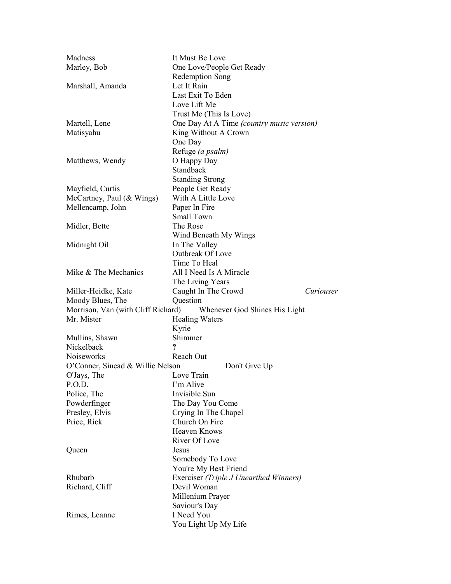| Madness                            | It Must Be Love                           |  |  |
|------------------------------------|-------------------------------------------|--|--|
| Marley, Bob                        | One Love/People Get Ready                 |  |  |
|                                    | Redemption Song                           |  |  |
| Marshall, Amanda                   | Let It Rain                               |  |  |
|                                    | Last Exit To Eden                         |  |  |
|                                    | Love Lift Me                              |  |  |
|                                    | Trust Me (This Is Love)                   |  |  |
| Martell, Lene                      | One Day At A Time (country music version) |  |  |
| Matisyahu                          | King Without A Crown                      |  |  |
|                                    | One Day                                   |  |  |
|                                    | Refuge (a psalm)                          |  |  |
| Matthews, Wendy                    | O Happy Day                               |  |  |
|                                    | Standback                                 |  |  |
|                                    | <b>Standing Strong</b>                    |  |  |
| Mayfield, Curtis                   | People Get Ready                          |  |  |
| McCartney, Paul (& Wings)          | With A Little Love                        |  |  |
| Mellencamp, John                   | Paper In Fire                             |  |  |
|                                    | Small Town                                |  |  |
|                                    | The Rose                                  |  |  |
| Midler, Bette                      |                                           |  |  |
|                                    | Wind Beneath My Wings                     |  |  |
| Midnight Oil                       | In The Valley<br>Outbreak Of Love         |  |  |
|                                    |                                           |  |  |
|                                    | Time To Heal                              |  |  |
| Mike & The Mechanics               | All I Need Is A Miracle                   |  |  |
|                                    | The Living Years                          |  |  |
| Miller-Heidke, Kate                | Caught In The Crowd<br>Curiouser          |  |  |
| Moody Blues, The                   | Question                                  |  |  |
| Morrison, Van (with Cliff Richard) | Whenever God Shines His Light             |  |  |
| Mr. Mister                         | <b>Healing Waters</b>                     |  |  |
|                                    | Kyrie                                     |  |  |
| Mullins, Shawn                     | Shimmer                                   |  |  |
| Nickelback                         | $\overline{\mathbf{?}}$                   |  |  |
| <b>Noiseworks</b>                  | Reach Out                                 |  |  |
| O'Conner, Sinead & Willie Nelson   | Don't Give Up                             |  |  |
| O'Jays, The                        | Love Train                                |  |  |
| P.O.D.                             | I'm Alive                                 |  |  |
| Police, The                        | Invisible Sun                             |  |  |
| Powderfinger                       | The Day You Come                          |  |  |
| Presley, Elvis                     | Crying In The Chapel                      |  |  |
| Price, Rick                        | Church On Fire                            |  |  |
|                                    | <b>Heaven Knows</b>                       |  |  |
|                                    | River Of Love                             |  |  |
| Queen                              | Jesus                                     |  |  |
|                                    | Somebody To Love                          |  |  |
|                                    | You're My Best Friend                     |  |  |
| Rhubarb                            | Exerciser (Triple J Unearthed Winners)    |  |  |
| Richard, Cliff                     | Devil Woman                               |  |  |
|                                    | Millenium Prayer                          |  |  |
|                                    | Saviour's Day                             |  |  |
| Rimes, Leanne                      | I Need You                                |  |  |
|                                    | You Light Up My Life                      |  |  |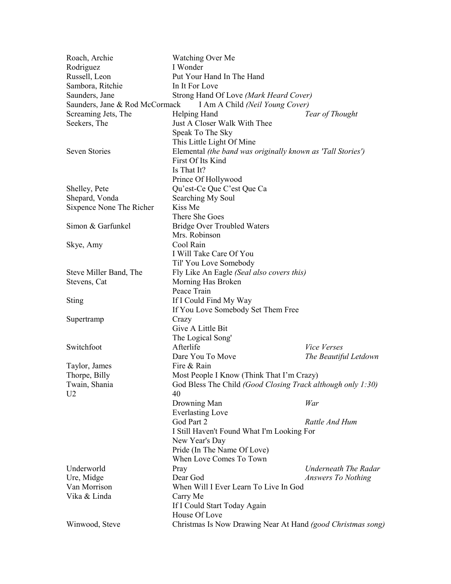| Roach, Archie                  | Watching Over Me                                            |                                                             |  |  |
|--------------------------------|-------------------------------------------------------------|-------------------------------------------------------------|--|--|
| Rodriguez                      | I Wonder                                                    |                                                             |  |  |
| Russell, Leon                  | Put Your Hand In The Hand                                   |                                                             |  |  |
| Sambora, Ritchie               | In It For Love                                              |                                                             |  |  |
| Saunders, Jane                 | Strong Hand Of Love (Mark Heard Cover)                      |                                                             |  |  |
| Saunders, Jane & Rod McCormack | I Am A Child (Neil Young Cover)                             |                                                             |  |  |
| Screaming Jets, The            | Helping Hand                                                | Tear of Thought                                             |  |  |
| Seekers, The                   | Just A Closer Walk With Thee                                |                                                             |  |  |
|                                | Speak To The Sky                                            |                                                             |  |  |
|                                | This Little Light Of Mine                                   |                                                             |  |  |
| <b>Seven Stories</b>           | Elemental (the band was originally known as 'Tall Stories') |                                                             |  |  |
|                                | First Of Its Kind                                           |                                                             |  |  |
|                                | Is That It?                                                 |                                                             |  |  |
|                                | Prince Of Hollywood                                         |                                                             |  |  |
| Shelley, Pete                  | Qu'est-Ce Que C'est Que Ca                                  |                                                             |  |  |
| Shepard, Vonda                 | Searching My Soul                                           |                                                             |  |  |
| Sixpence None The Richer       | Kiss Me                                                     |                                                             |  |  |
|                                | There She Goes                                              |                                                             |  |  |
| Simon & Garfunkel              | <b>Bridge Over Troubled Waters</b>                          |                                                             |  |  |
|                                | Mrs. Robinson                                               |                                                             |  |  |
| Skye, Amy                      | Cool Rain                                                   |                                                             |  |  |
|                                | I Will Take Care Of You                                     |                                                             |  |  |
|                                | Til' You Love Somebody                                      |                                                             |  |  |
| Steve Miller Band, The         | Fly Like An Eagle (Seal also covers this)                   |                                                             |  |  |
| Stevens, Cat                   | Morning Has Broken                                          |                                                             |  |  |
|                                | Peace Train                                                 |                                                             |  |  |
| <b>Sting</b>                   | If I Could Find My Way                                      |                                                             |  |  |
|                                | If You Love Somebody Set Them Free                          |                                                             |  |  |
|                                | Crazy                                                       |                                                             |  |  |
| Supertramp                     | Give A Little Bit                                           |                                                             |  |  |
|                                | The Logical Song'                                           |                                                             |  |  |
| Switchfoot                     | Afterlife                                                   | Vice Verses                                                 |  |  |
|                                |                                                             |                                                             |  |  |
|                                | Dare You To Move<br>Fire & Rain                             | The Beautiful Letdown                                       |  |  |
| Taylor, James                  |                                                             |                                                             |  |  |
| Thorpe, Billy                  |                                                             | Most People I Know (Think That I'm Crazy)                   |  |  |
| Twain, Shania                  | God Bless The Child (Good Closing Track although only 1:30) |                                                             |  |  |
| U <sub>2</sub>                 | 40                                                          |                                                             |  |  |
|                                | Drowning Man                                                | War                                                         |  |  |
|                                | <b>Everlasting Love</b>                                     |                                                             |  |  |
|                                | God Part 2                                                  | Rattle And Hum                                              |  |  |
|                                | I Still Haven't Found What I'm Looking For                  |                                                             |  |  |
|                                | New Year's Day                                              |                                                             |  |  |
|                                | Pride (In The Name Of Love)                                 |                                                             |  |  |
|                                | When Love Comes To Town                                     |                                                             |  |  |
| Underworld                     | Pray                                                        | <b>Underneath The Radar</b>                                 |  |  |
| Ure, Midge                     | Dear God                                                    | Answers To Nothing                                          |  |  |
| Van Morrison                   | When Will I Ever Learn To Live In God                       |                                                             |  |  |
| Vika & Linda                   | Carry Me                                                    |                                                             |  |  |
|                                | If I Could Start Today Again                                |                                                             |  |  |
|                                | House Of Love                                               |                                                             |  |  |
| Winwood, Steve                 |                                                             | Christmas Is Now Drawing Near At Hand (good Christmas song) |  |  |